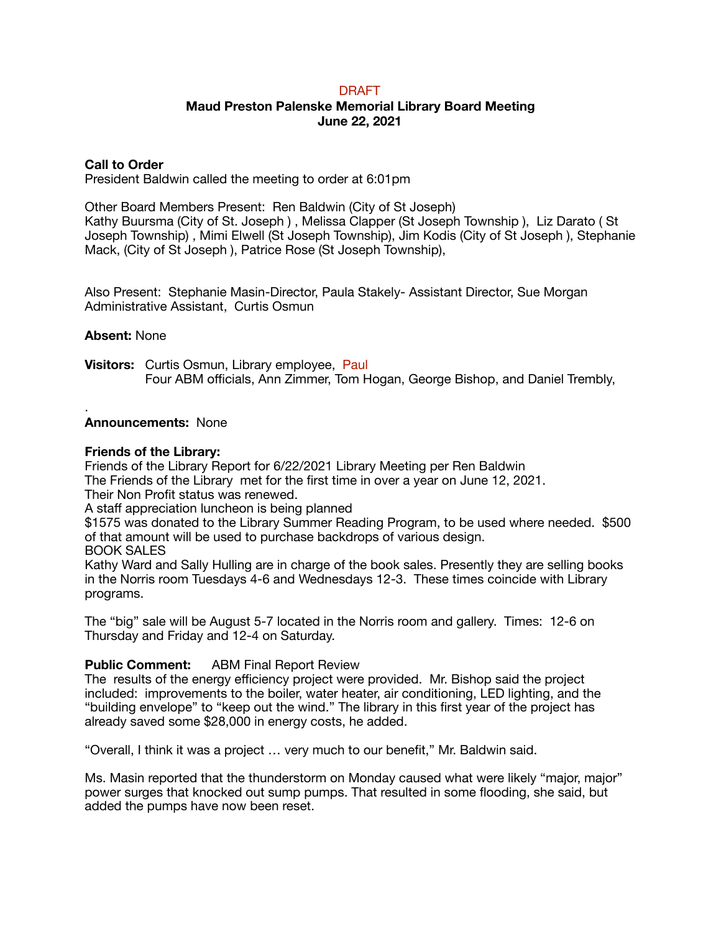# DRAFT

# **Maud Preston Palenske Memorial Library Board Meeting June 22, 2021**

# **Call to Order**

President Baldwin called the meeting to order at 6:01pm

Other Board Members Present: Ren Baldwin (City of St Joseph) Kathy Buursma (City of St. Joseph ) , Melissa Clapper (St Joseph Township ), Liz Darato ( St Joseph Township) , Mimi Elwell (St Joseph Township), Jim Kodis (City of St Joseph ), Stephanie Mack, (City of St Joseph ), Patrice Rose (St Joseph Township),

Also Present: Stephanie Masin-Director, Paula Stakely- Assistant Director, Sue Morgan Administrative Assistant, Curtis Osmun

## **Absent:** None

.

**Visitors:** Curtis Osmun, Library employee, Paul Four ABM officials, Ann Zimmer, Tom Hogan, George Bishop, and Daniel Trembly,

## **Announcements:** None

#### **Friends of the Library:**

Friends of the Library Report for 6/22/2021 Library Meeting per Ren Baldwin The Friends of the Library met for the first time in over a year on June 12, 2021.

Their Non Profit status was renewed.

A staff appreciation luncheon is being planned

\$1575 was donated to the Library Summer Reading Program, to be used where needed. \$500 of that amount will be used to purchase backdrops of various design.

BOOK SALES

Kathy Ward and Sally Hulling are in charge of the book sales. Presently they are selling books in the Norris room Tuesdays 4-6 and Wednesdays 12-3. These times coincide with Library programs.

The "big" sale will be August 5-7 located in the Norris room and gallery. Times: 12-6 on Thursday and Friday and 12-4 on Saturday.

# **Public Comment:** ABM Final Report Review

The results of the energy efficiency project were provided. Mr. Bishop said the project included: improvements to the boiler, water heater, air conditioning, LED lighting, and the "building envelope" to "keep out the wind." The library in this first year of the project has already saved some \$28,000 in energy costs, he added.

"Overall, I think it was a project … very much to our benefit," Mr. Baldwin said.

Ms. Masin reported that the thunderstorm on Monday caused what were likely "major, major" power surges that knocked out sump pumps. That resulted in some flooding, she said, but added the pumps have now been reset.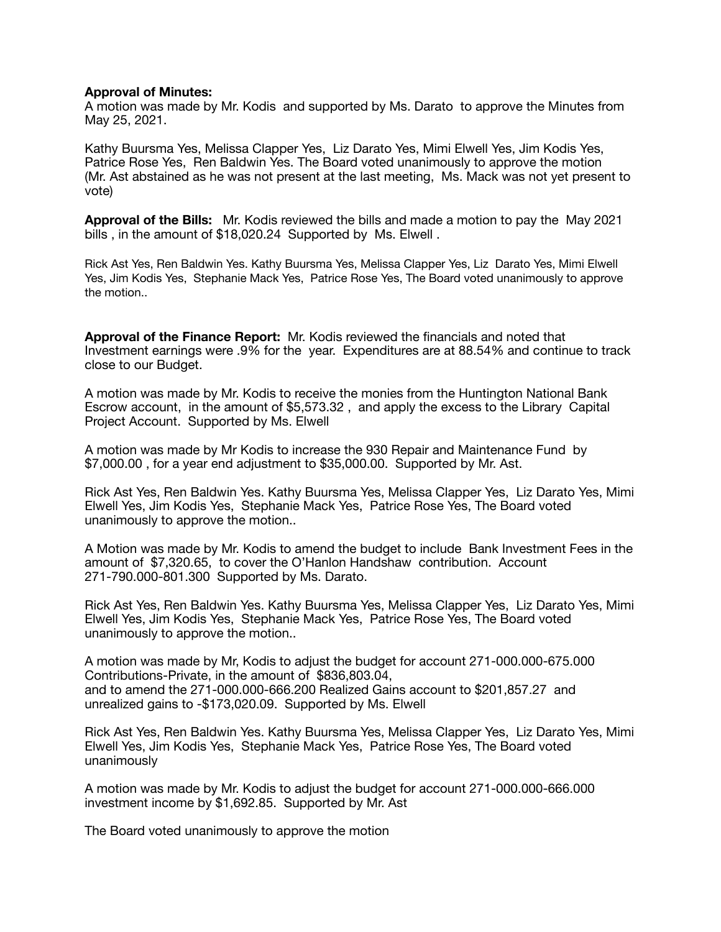### **Approval of Minutes:**

A motion was made by Mr. Kodis and supported by Ms. Darato to approve the Minutes from May 25, 2021.

Kathy Buursma Yes, Melissa Clapper Yes, Liz Darato Yes, Mimi Elwell Yes, Jim Kodis Yes, Patrice Rose Yes, Ren Baldwin Yes. The Board voted unanimously to approve the motion (Mr. Ast abstained as he was not present at the last meeting, Ms. Mack was not yet present to vote)

**Approval of the Bills:** Mr. Kodis reviewed the bills and made a motion to pay the May 2021 bills, in the amount of \$18,020.24 Supported by Ms. Elwell.

Rick Ast Yes, Ren Baldwin Yes. Kathy Buursma Yes, Melissa Clapper Yes, Liz Darato Yes, Mimi Elwell Yes, Jim Kodis Yes, Stephanie Mack Yes, Patrice Rose Yes, The Board voted unanimously to approve the motion..

**Approval of the Finance Report:** Mr. Kodis reviewed the financials and noted that Investment earnings were .9% for the year. Expenditures are at 88.54% and continue to track close to our Budget.

A motion was made by Mr. Kodis to receive the monies from the Huntington National Bank Escrow account, in the amount of \$5,573.32 , and apply the excess to the Library Capital Project Account. Supported by Ms. Elwell

A motion was made by Mr Kodis to increase the 930 Repair and Maintenance Fund by \$7,000.00 , for a year end adjustment to \$35,000.00. Supported by Mr. Ast.

Rick Ast Yes, Ren Baldwin Yes. Kathy Buursma Yes, Melissa Clapper Yes, Liz Darato Yes, Mimi Elwell Yes, Jim Kodis Yes, Stephanie Mack Yes, Patrice Rose Yes, The Board voted unanimously to approve the motion..

A Motion was made by Mr. Kodis to amend the budget to include Bank Investment Fees in the amount of \$7,320.65, to cover the O'Hanlon Handshaw contribution. Account 271-790.000-801.300 Supported by Ms. Darato.

Rick Ast Yes, Ren Baldwin Yes. Kathy Buursma Yes, Melissa Clapper Yes, Liz Darato Yes, Mimi Elwell Yes, Jim Kodis Yes, Stephanie Mack Yes, Patrice Rose Yes, The Board voted unanimously to approve the motion..

A motion was made by Mr, Kodis to adjust the budget for account 271-000.000-675.000 Contributions-Private, in the amount of \$836,803.04, and to amend the 271-000.000-666.200 Realized Gains account to \$201,857.27 and unrealized gains to -\$173,020.09. Supported by Ms. Elwell

Rick Ast Yes, Ren Baldwin Yes. Kathy Buursma Yes, Melissa Clapper Yes, Liz Darato Yes, Mimi Elwell Yes, Jim Kodis Yes, Stephanie Mack Yes, Patrice Rose Yes, The Board voted unanimously

A motion was made by Mr. Kodis to adjust the budget for account 271-000.000-666.000 investment income by \$1,692.85. Supported by Mr. Ast

The Board voted unanimously to approve the motion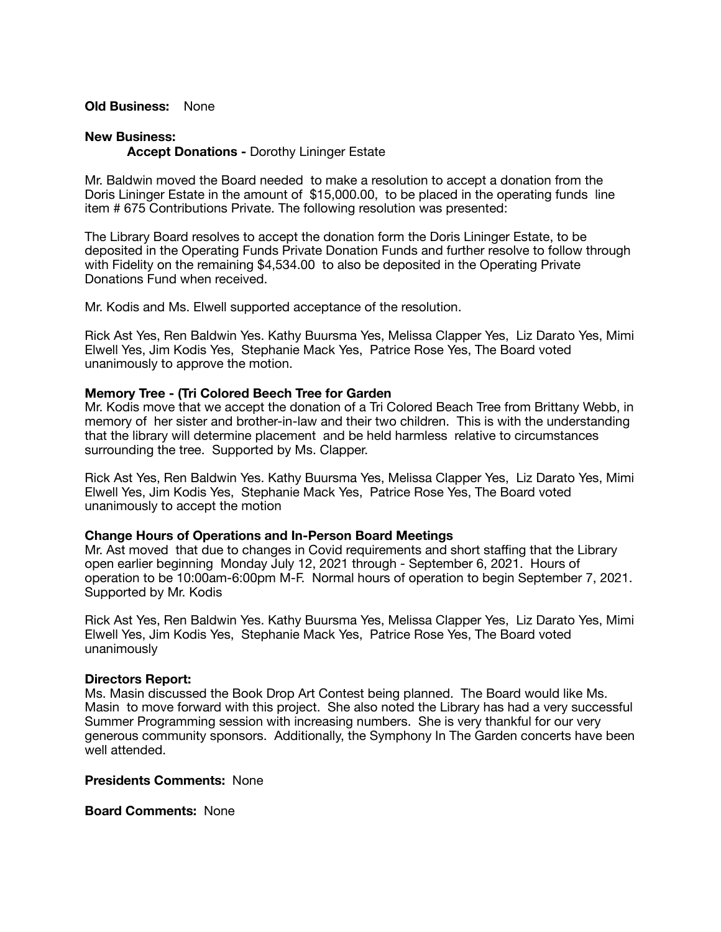# **Old Business:** None

### **New Business:**

**Accept Donations -** Dorothy Lininger Estate

Mr. Baldwin moved the Board needed to make a resolution to accept a donation from the Doris Lininger Estate in the amount of \$15,000.00, to be placed in the operating funds line item # 675 Contributions Private. The following resolution was presented:

The Library Board resolves to accept the donation form the Doris Lininger Estate, to be deposited in the Operating Funds Private Donation Funds and further resolve to follow through with Fidelity on the remaining \$4,534.00 to also be deposited in the Operating Private Donations Fund when received.

Mr. Kodis and Ms. Elwell supported acceptance of the resolution.

Rick Ast Yes, Ren Baldwin Yes. Kathy Buursma Yes, Melissa Clapper Yes, Liz Darato Yes, Mimi Elwell Yes, Jim Kodis Yes, Stephanie Mack Yes, Patrice Rose Yes, The Board voted unanimously to approve the motion.

## **Memory Tree - (Tri Colored Beech Tree for Garden**

Mr. Kodis move that we accept the donation of a Tri Colored Beach Tree from Brittany Webb, in memory of her sister and brother-in-law and their two children. This is with the understanding that the library will determine placement and be held harmless relative to circumstances surrounding the tree. Supported by Ms. Clapper.

Rick Ast Yes, Ren Baldwin Yes. Kathy Buursma Yes, Melissa Clapper Yes, Liz Darato Yes, Mimi Elwell Yes, Jim Kodis Yes, Stephanie Mack Yes, Patrice Rose Yes, The Board voted unanimously to accept the motion

#### **Change Hours of Operations and In-Person Board Meetings**

Mr. Ast moved that due to changes in Covid requirements and short staffing that the Library open earlier beginning Monday July 12, 2021 through - September 6, 2021. Hours of operation to be 10:00am-6:00pm M-F. Normal hours of operation to begin September 7, 2021. Supported by Mr. Kodis

Rick Ast Yes, Ren Baldwin Yes. Kathy Buursma Yes, Melissa Clapper Yes, Liz Darato Yes, Mimi Elwell Yes, Jim Kodis Yes, Stephanie Mack Yes, Patrice Rose Yes, The Board voted unanimously

#### **Directors Report:**

Ms. Masin discussed the Book Drop Art Contest being planned. The Board would like Ms. Masin to move forward with this project. She also noted the Library has had a very successful Summer Programming session with increasing numbers. She is very thankful for our very generous community sponsors. Additionally, the Symphony In The Garden concerts have been well attended.

#### **Presidents Comments:** None

**Board Comments:** None